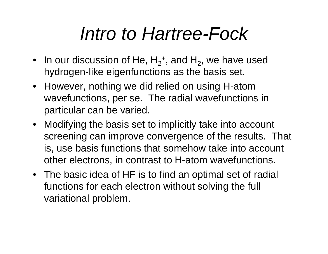# *Intro to Hartree-Fock*

- In our discussion of He,  $H_2^+$ , and  $H_2$ , we have used hydrogen-like eigenfunctions as the basis set.
- However, nothing we did relied on using H-atom wavefunctions, per se. The radial wavefunctions in particular can be varied.
- Modifying the basis set to implicitly take into account screening can improve convergence of the results. That is, use basis functions that somehow take into account other electrons, in contrast to H-atom wavefunctions.
- The basic idea of HF is to find an optimal set of radial functions for each electron without solving the full variational problem.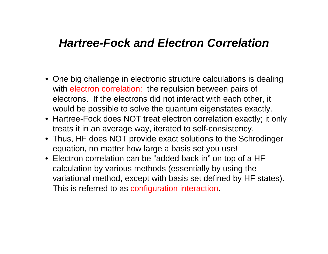#### *Hartree-Fock and Electron Correlation*

- One big challenge in electronic structure calculations is dealing with electron correlation: the repulsion between pairs of electrons. If the electrons did not interact with each other, it would be possible to solve the quantum eigenstates exactly.
- Hartree-Fock does NOT treat electron correlation exactly; it only treats it in an average way, iterated to self-consistency.
- Thus, HF does NOT provide exact solutions to the Schrodinger equation, no matter how large a basis set you use!
- Electron correlation can be "added back in" on top of a HF calculation by various methods (essentially by using the variational method, except with basis set defined by HF states). This is referred to as configuration interaction.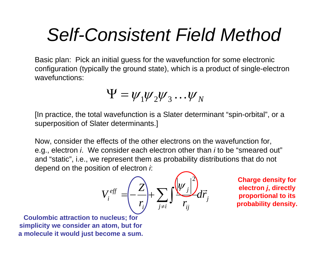## *Self-Consistent Field Method*

Basic plan: Pick an initial guess for the wavefunction for some electronic configuration (typically the ground state), which is a product of single-electron wavefunctions:

$$
\Psi = \psi_1 \psi_2 \psi_3 \dots \psi_N
$$

[In practice, the total wavefunction is a Slater determinant "spin-orbital", or a superposition of Slater determinants.]

Now, consider the effects of the other electrons on the wavefunction for, e.g., electron *i*. We consider each electron other than *i* to be "smeared out" and "static", i.e., we represent them as probability distributions that do not depend on the position of electron *i*:

$$
V_i^{eff} = \left(\frac{Z}{r_i} + \sum_{j \neq i} \int \frac{\left(\psi_j\right)^2}{r_{ij}} d\vec{r}_j
$$

**Charge density for electron**  *j***, directly proportional to its probability density.**

**Coulombic attraction to nucleus; for simplicity we consider an atom, but for a molecule it would just become a sum.**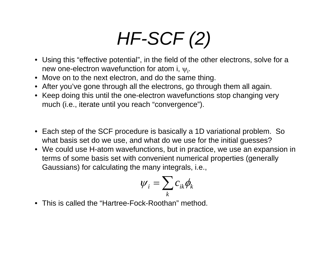# *HF-SCF (2)*

- Using this "effective potential", in the field of the other electrons, solve for a new one-electron wavefunction for atom i,  $\psi_i$ .
- Move on to the next electron, and do the same thing.
- After you've gone through all the electrons, go through them all again.
- Keep doing this until the one-electron wavefunctions stop changing very much (i.e., iterate until you reach "convergence").
- Each step of the SCF procedure is basically a 1D variational problem. So what basis set do we use, and what do we use for the initial guesses?
- We could use H-atom wavefunctions, but in practice, we use an expansion in terms of some basis set with convenient numerical properties (generally Gaussians) for calculating the many integrals, i.e.,

$$
\psi_i = \sum_k c_{ik} \phi_k
$$

• This is called the "Hartree-Fock-Roothan" method.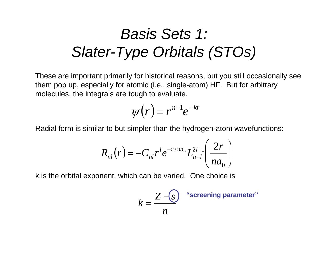### *Basis Sets 1: Slater-Type Orbitals (STOs)*

These are important primarily for historical reasons, but you still occasionally see them pop up, especially for atomic (i.e., single-atom) HF. But for arbitrary molecules, the integrals are tough to evaluate.

$$
\psi(r)=r^{n-1}e^{-kr}
$$

Radial form is similar to but simpler than the hydrogen-atom wavefunctions:

$$
R_{nl}(r) = -C_{nl}r^{l}e^{-r/na_{0}}L_{n+l}^{2l+1}\left(\frac{2r}{na_{0}}\right)
$$

k is the orbital exponent, which can be varied. One choice is

$$
k = \frac{Z - S}{n}
$$
 "screening parameter"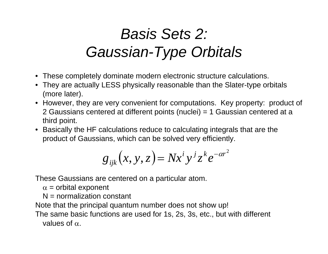### *Basis Sets 2: Gaussian-Type Orbitals*

- These completely dominate modern electronic structure calculations.
- They are actually LESS physically reasonable than the Slater-type orbitals (more later).
- However, they are very convenient for computations. Key property: product of 2 Gaussians centered at different points (nuclei) = 1 Gaussian centered at a third point.
- Basically the HF calculations reduce to calculating integrals that are the product of Gaussians, which can be solved very efficiently.

$$
g_{ijk}(x, y, z) = Nx^i y^j z^k e^{-\alpha r^2}
$$

These Gaussians are centered on a particular atom.

 $\alpha$  = orbital exponent

 $N =$  normalization constant

Note that the principal quantum number does not show up!

The same basic functions are used for 1s, 2s, 3s, etc., but with different values of  $\alpha$ .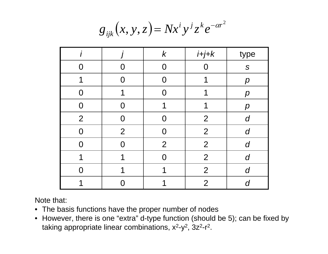$$
g_{ijk}(x, y, z) = Nx^i y^j z^k e^{-\alpha r^2}
$$

|                |                | $\boldsymbol{k}$ | $i+j+k$        | type                |
|----------------|----------------|------------------|----------------|---------------------|
| $\cap$         |                | N                |                | S                   |
| 1              | O              | $\Omega$         | ኅ              | $\boldsymbol{p}$    |
| $\Omega$       |                |                  | ◀              | $\boldsymbol{\rho}$ |
| $\overline{0}$ | Ω              | ◀                |                | $\boldsymbol{\rho}$ |
| $\overline{2}$ | O              | $\Omega$         | $\overline{2}$ | d                   |
| $\Omega$       | $\overline{2}$ | $\Omega$         | $\overline{2}$ | $\boldsymbol{d}$    |
| $\Omega$       |                | 2                | $\overline{2}$ | d                   |
| 1              | ◀              | $\Omega$         | $\overline{2}$ | d                   |
|                |                |                  | $\overline{2}$ | d                   |
|                |                |                  | $\overline{2}$ | $\cap$              |

Note that:

- The basis functions have the proper number of nodes
- However, there is one "extra" d-type function (should be 5); can be fixed by taking appropriate linear combinations,  $x^2-y^2$ ,  $3z^2-r^2$ .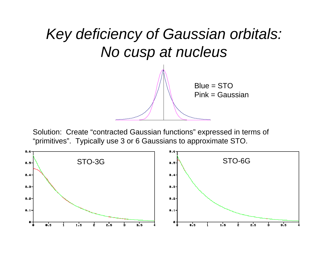

Solution: Create "contracted Gaussian functions" expressed in terms of "primitives". Typically use 3 or 6 Gaussians to approximate STO.

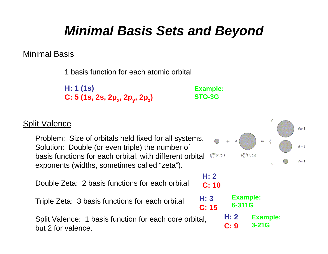### *Minimal Basis Sets and Beyond*

#### Minimal Basis

1 basis function for each atomic orbital

**H: 1 (1s) C: 5 (1s, 2s, 2p <sup>x</sup>, 2p <sup>y</sup>, 2p z)** **Example: STO-3G**

**H: 2**

**H: 3**

**C: 15**

**H: 2**

**Example:** 

**6-311G**

**C: 9**

**C: 10**

#### **Split Valence**

Problem: Size of orbitals held fixed for all systems. Solution: Double (or even triple) the number of basis functions for each orbital, with different orbital exponents (widths, sometimes called "zeta").

Double Zeta: 2 basis functions for each orbital

Triple Zeta: 3 basis functions for each orbital

Split Valence: 1 basis function for each core orbital, but 2 for valence.



**Example:** 

**3-21G**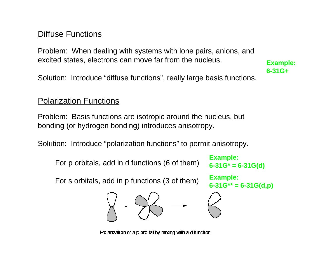#### Diffuse Functions

Problem: When dealing with systems with lone pairs, anions, and excited states, electrons can move far from the nucleus.

Solution: Introduce "diffuse functions", really large basis functions. **6-31G+**

#### Polarization Functions

Problem: Basis functions are isotropic around the nucleus, but bonding (or hydrogen bonding) introduces anisotropy.

Solution: Introduce "polarization functions" to permit anisotropy.

For p orbitals, add in d functions (6 of them)

**Example: 6-31G\* = 6-31G(d)**

**Example:** 

For s orbitals, add in p functions (3 of them)



**Example: 6-31G\*\* = 6-31G(d,p)**



Polarization of a p orbital by mixing with a d function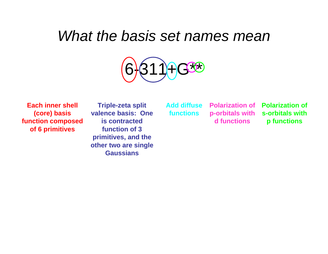#### *What the basis set names mean*



**Each inner shell (core) basis function composed of 6 primitives**

**Triple-zeta split valence basis: One is contracted function of 3 primitives, and the other two are single Gaussians**

**Add diffuse functions**

**p-orbitals with d functions**

**Polarization of Polarization of s-orbitals with p functions**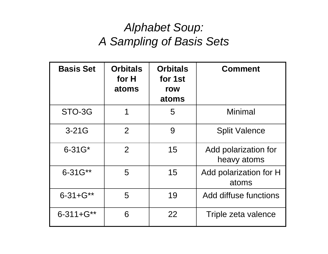#### *Alphabet Soup: A Sampling of Basis Sets*

| <b>Basis Set</b>   | <b>Orbitals</b><br>for H<br>atoms | <b>Orbitals</b><br>for 1st<br>row<br>atoms | <b>Comment</b>                      |
|--------------------|-----------------------------------|--------------------------------------------|-------------------------------------|
| STO-3G             | 1                                 | 5                                          | Minimal                             |
| $3-21G$            | $\overline{2}$                    | 9                                          | <b>Split Valence</b>                |
| $6 - 31G^*$        | $\overline{2}$                    | 15                                         | Add polarization for<br>heavy atoms |
| 6-31G**            | 5                                 | 15                                         | Add polarization for H<br>atoms     |
| $6 - 31 + G^{**}$  | 5                                 | 19                                         | Add diffuse functions               |
| $6 - 311 + G^{**}$ | 6                                 | 22                                         | Triple zeta valence                 |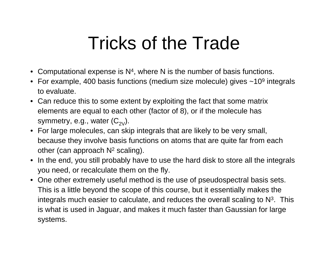## Tricks of the Trade

- Computational expense is N 4, where N is the number of basis functions.
- $\bullet~$  For example, 400 basis functions (medium size molecule) gives ~10<sup>9</sup> integrals to evaluate.
- Can reduce this to some extent by exploiting the fact that some matrix elements are equal to each other (factor of 8), or if the molecule has symmetry, e.g., water  $(C_{2V})$ .
- For large molecules, can skip integrals that are likely to be very small, because they involve basis functions on atoms that are quite far from each other (can approach N 2 scaling).
- In the end, you still probably have to use the hard disk to store all the integrals you need, or recalculate them on the fly.
- One other extremely useful method is the use of pseudospectral basis sets. This is a little beyond the scope of this course, but it essentially makes the integrals much easier to calculate, and reduces the overall scaling to  $\mathsf{N}^3$ . This is what is used in Jaguar, and makes it much faster than Gaussian for large systems.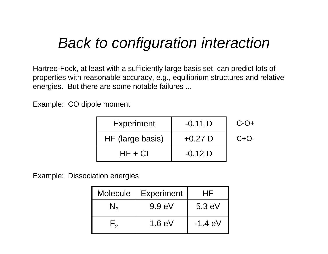### *Back to configuration interaction*

Hartree-Fock, at least with a sufficiently large basis set, can predict lots of properties with reasonable accuracy, e.g., equilibrium structures and relative energies. But there are some notable failures ...

Example: CO dipole moment

| <b>Experiment</b> | $-0.11$ D | $C-O+$ |
|-------------------|-----------|--------|
| HF (large basis)  | $+0.27$ D | $C+O-$ |
| $HF + Cl$         | $-0.12$ D |        |

Example: Dissociation energies

| Molecule | <b>Experiment</b> | ⊣⊢               |
|----------|-------------------|------------------|
|          | 9.9 eV            | $5.3 \text{ eV}$ |
|          | $1.6 \text{ eV}$  | $-1.4$ eV        |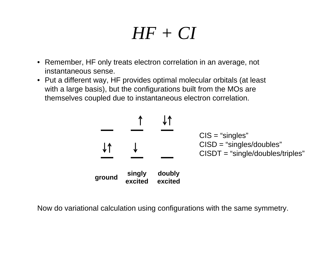### *HF + CI*

- Remember, HF only treats electron correlation in an average, not instantaneous sense.
- Put a different way, HF provides optimal molecular orbitals (at least with a large basis), but the configurations built from the MOs are themselves coupled due to instantaneous electron correlation.



Now do variational calculation using configurations with the same symmetry.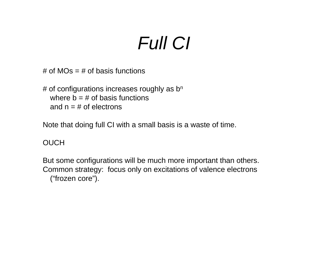# *Full CI*

# of  $MOs = #$  of basis functions

 $#$  of configurations increases roughly as b<sup>n</sup> where  $b = #$  of basis functions and  $n = #$  of electrons

Note that doing full CI with a small basis is a waste of time.

#### OUCH

But some configurations will be much more important than others. Common strategy: focus only on excitations of valence electrons ("frozen core").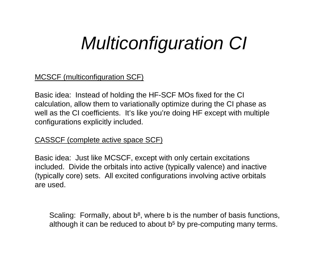## *Multiconfiguration CI*

#### MCSCF (multiconfiguration SCF)

Basic idea: Instead of holding the HF-SCF MOs fixed for the CI calculation, allow them to variationally optimize during the CI phase as well as the CI coefficients. It's like you're doing HF except with multiple configurations explicitly included.

#### CASSCF (complete active space SCF)

Basic idea: Just like MCSCF, except with only certain excitations included. Divide the orbitals into active (typically valence) and inactive (typically core) sets. All excited configurations involving active orbitals are used.

Scaling: Formally, about  $\mathsf{b}^{\mathsf{g}},$  where  $\mathsf{b}$  is the number of basis functions, although it can be reduced to about b 5 by pre-computing many terms.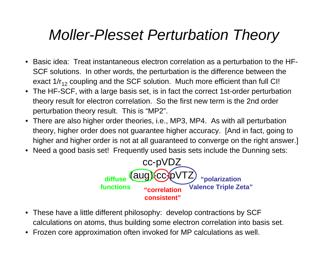### *Moller-Plesset Perturbation Theory*

- Basic idea: Treat instantaneous electron correlation as a perturbation to the HF-SCF solutions. In other words, the perturbation is the difference between the exact 1/r<sub>12</sub> coupling and the SCF solution. Much more efficient than full CI!
- The HF-SCF, with a large basis set, is in fact the correct 1st-order perturbation theory result for electron correlation. So the first new term is the 2nd order perturbation theory result. This is "MP2".
- There are also higher order theories, i.e., MP3, MP4. As with all perturbation theory, higher order does not guarantee higher accuracy. [And in fact, going to higher and higher order is not at all guaranteed to converge on the right answer.]
- •Need a good basis set! Frequently used basis sets include the Dunning sets:



- These have a little different philosophy: develop contractions by SCF calculations on atoms, thus building some electron correlation into basis set.
- Frozen core approximation often invoked for MP calculations as well.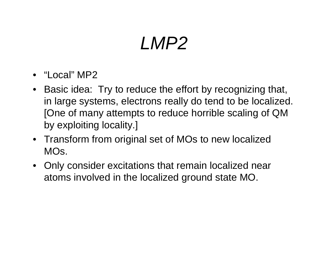# *LMP2*

- "Local" MP2
- Basic idea: Try to reduce the effort by recognizing that, in large systems, electrons really do tend to be localized. [One of many attempts to reduce horrible scaling of QM by exploiting locality.]
- Transform from original set of MOs to new localized MOs.
- Only consider excitations that remain localized near atoms involved in the localized ground state MO.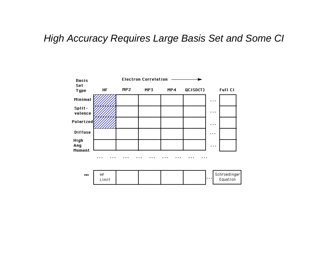#### *High Accuracy Requires Large Basis Set and Some CI*

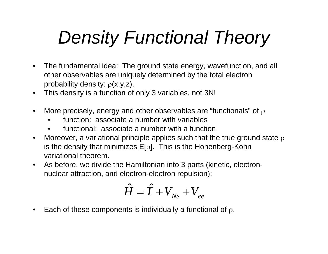# *Density Functional Theory*

- $\bullet$  The fundamental idea: The ground state energy, wavefunction, and all other observables are uniquely determined by the total electron probability density:  $\rho$ (x,y,z).
- $\bullet$ This density is a function of only 3 variables, not 3N!
- $\bullet$ More precisely, energy and other observables are "functionals" of  $\rho$ 
	- •function: associate a number with variables
	- •functional: associate a number with a function
- $\bullet$ Moreover, a variational principle applies such that the true ground state  $\rho$ is the density that minimizes E[ $\rho$ ]. This is the Hohenberg-Kohn variational theorem.
- • As before, we divide the Hamiltonian into 3 parts (kinetic, electronnuclear attraction, and electron-electron repulsion):

$$
\hat{H}=\hat{T}+V_{\scriptscriptstyle Ne}+V_{\scriptscriptstyle ee}
$$

 $\bullet$ Each of these components is individually a functional of  $\rho$ .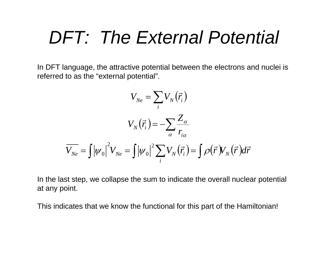### *DFT: The External Potential*

In DFT language, the attractive potential between the electrons and nuclei is referred to as the "external potential".

$$
V_{Ne} = \sum_{i} V_N(\vec{r}_i)
$$

$$
V_N(\vec{r}_i) = -\sum_{\alpha} \frac{Z_{\alpha}}{r_{i\alpha}}
$$

$$
\overline{V_{Ne}} = \int |\psi_0|^2 V_{Ne} = \int |\psi_0|^2 \sum_{i} V_N(\vec{r}_i) = \int \rho(\vec{r}) V_N(\vec{r}) d\vec{r}
$$

In the last step, we collapse the sum to indicate the overall nuclear potential at any point.

This indicates that we know the functional for this part of the Hamiltonian!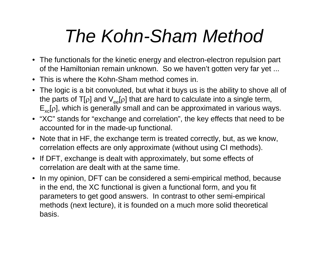# *The Kohn-Sham Method*

- The functionals for the kinetic energy and electron-electron repulsion part of the Hamiltonian remain unknown. So we haven't gotten very far yet ...
- This is where the Kohn-Sham method comes in.
- The logic is a bit convoluted, but what it buys us is the ability to shove all of the parts of T[ $\rho$ ] and  $\mathsf{V}_{\mathsf{ee}}[\rho]$  that are hard to calculate into a single term,  $E_{xc}[\rho]$ , which is generally small and can be approximated in various ways.
- "XC" stands for "exchange and correlation", the key effects that need to be accounted for in the made-up functional.
- Note that in HF, the exchange term is treated correctly, but, as we know, correlation effects are only approximate (without using CI methods).
- If DFT, exchange is dealt with approximately, but some effects of correlation are dealt with at the same time.
- In my opinion, DFT can be considered a semi-empirical method, because in the end, the XC functional is given a functional form, and you fit parameters to get good answers. In contrast to other semi-empirical methods (next lecture), it is founded on a much more solid theoretical basis.